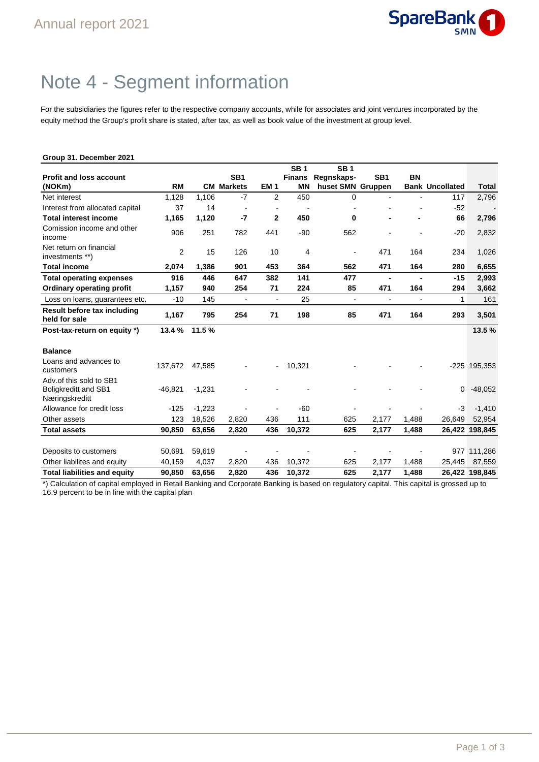

## Note 4 - Segment information

For the subsidiaries the figures refer to the respective company accounts, while for associates and joint ventures incorporated by the equity method the Group's profit share is stated, after tax, as well as book value of the investment at group level.

| Group 31. December 2021                                                  |           |          |                   |                 |               |                          |                          |                          |                        |                |
|--------------------------------------------------------------------------|-----------|----------|-------------------|-----------------|---------------|--------------------------|--------------------------|--------------------------|------------------------|----------------|
|                                                                          |           |          |                   |                 | <b>SB1</b>    | <b>SB1</b>               |                          |                          |                        |                |
| <b>Profit and loss account</b>                                           |           |          | SB <sub>1</sub>   |                 | <b>Finans</b> | Regnskaps-               | SB <sub>1</sub>          | <b>BN</b>                |                        |                |
| (NOKm)                                                                   | <b>RM</b> |          | <b>CM Markets</b> | EM <sub>1</sub> | <b>MN</b>     | huset SMN Gruppen        |                          |                          | <b>Bank Uncollated</b> | <b>Total</b>   |
| Net interest                                                             | 1,128     | 1,106    | $-7$              | $\overline{2}$  | 450           | 0                        |                          |                          | 117                    | 2,796          |
| Interest from allocated capital                                          | 37        | 14       |                   |                 |               |                          |                          |                          | $-52$                  |                |
| <b>Total interest income</b>                                             | 1,165     | 1,120    | $-7$              | $\mathbf{2}$    | 450           | 0                        |                          |                          | 66                     | 2,796          |
| Comission income and other<br>income                                     | 906       | 251      | 782               | 441             | $-90$         | 562                      |                          |                          | $-20$                  | 2,832          |
| Net return on financial<br>investments **)                               | 2         | 15       | 126               | 10              | 4             | $\overline{\phantom{a}}$ | 471                      | 164                      | 234                    | 1,026          |
| <b>Total income</b>                                                      | 2,074     | 1,386    | 901               | 453             | 364           | 562                      | 471                      | 164                      | 280                    | 6,655          |
| <b>Total operating expenses</b>                                          | 916       | 446      | 647               | 382             | 141           | 477                      | Ĭ.                       |                          | $-15$                  | 2,993          |
| Ordinary operating profit                                                | 1,157     | 940      | 254               | 71              | 224           | 85                       | 471                      | 164                      | 294                    | 3,662          |
| Loss on loans, guarantees etc.                                           | $-10$     | 145      | $\blacksquare$    | ÷,              | 25            | $\overline{\phantom{a}}$ | $\overline{\phantom{a}}$ | $\overline{\phantom{a}}$ | 1                      | 161            |
| Result before tax including<br>held for sale                             | 1,167     | 795      | 254               | 71              | 198           | 85                       | 471                      | 164                      | 293                    | 3,501          |
| Post-tax-return on equity *)                                             | 13.4%     | 11.5%    |                   |                 |               |                          |                          |                          |                        | 13.5%          |
| <b>Balance</b>                                                           |           |          |                   |                 |               |                          |                          |                          |                        |                |
| Loans and advances to<br>customers                                       | 137,672   | 47,585   |                   | $\blacksquare$  | 10,321        |                          |                          |                          |                        | $-225$ 195,353 |
| Adv.of this sold to SB1<br><b>Boligkreditt and SB1</b><br>Næringskreditt | -46.821   | $-1,231$ |                   |                 |               |                          |                          |                          | 0                      | $-48,052$      |
| Allowance for credit loss                                                | $-125$    | $-1,223$ |                   |                 | $-60$         |                          |                          |                          | -3                     | $-1,410$       |
| Other assets                                                             | 123       | 18,526   | 2,820             | 436             | 111           | 625                      | 2,177                    | 1,488                    | 26,649                 | 52,954         |
| <b>Total assets</b>                                                      | 90,850    | 63,656   | 2,820             | 436             | 10,372        | 625                      | 2,177                    | 1,488                    |                        | 26,422 198,845 |
| Deposits to customers                                                    | 50,691    | 59,619   |                   |                 |               |                          |                          |                          | 977                    | 111,286        |
| Other liabilites and equity                                              | 40,159    | 4,037    | 2,820             | 436             | 10,372        | 625                      | 2,177                    | 1,488                    | 25,445                 | 87,559         |
| <b>Total liabilities and equity</b>                                      | 90.850    | 63.656   | 2.820             | 436             | 10.372        | 625                      | 2.177                    | 1.488                    |                        | 26.422 198.845 |

\*) Calculation of capital employed in Retail Banking and Corporate Banking is based on regulatory capital. This capital is grossed up to 16.9 percent to be in line with the capital plan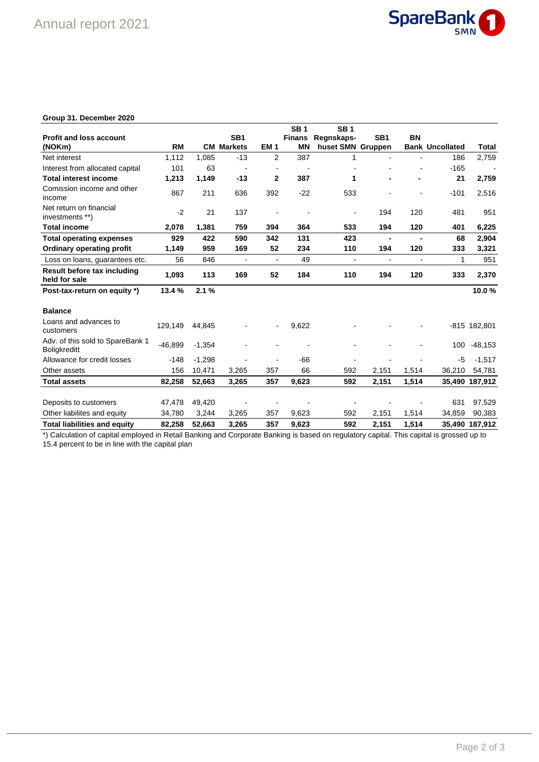

## **Group 31. December 2020**

|                                                         |           |          |                          |                          | <b>SB1</b>    | <b>SB1</b>        |                          |                          |                        |                          |
|---------------------------------------------------------|-----------|----------|--------------------------|--------------------------|---------------|-------------------|--------------------------|--------------------------|------------------------|--------------------------|
| <b>Profit and loss account</b>                          |           |          | SB <sub>1</sub>          |                          | <b>Finans</b> | Regnskaps-        | SB <sub>1</sub>          | <b>BN</b>                |                        |                          |
| (NOKm)                                                  | <b>RM</b> |          | <b>CM Markets</b>        | EM <sub>1</sub>          | <b>MN</b>     | huset SMN Gruppen |                          |                          | <b>Bank Uncollated</b> | Total                    |
| Net interest                                            | 1.112     | 1,085    | $-13$                    | $\overline{2}$           | 387           | 1                 |                          |                          | 186                    | 2,759                    |
| Interest from allocated capital                         | 101       | 63       | $\overline{\phantom{a}}$ |                          |               |                   |                          |                          | $-165$                 | $\overline{\phantom{a}}$ |
| <b>Total interest income</b>                            | 1,213     | 1,149    | $-13$                    | $\mathbf{2}$             | 387           | 1                 |                          |                          | 21                     | 2,759                    |
| Comission income and other<br>income                    | 867       | 211      | 636                      | 392                      | $-22$         | 533               |                          |                          | $-101$                 | 2,516                    |
| Net return on financial<br>investments **)              | $-2$      | 21       | 137                      |                          |               |                   | 194                      | 120                      | 481                    | 951                      |
| <b>Total income</b>                                     | 2,078     | 1,381    | 759                      | 394                      | 364           | 533               | 194                      | 120                      | 401                    | 6,225                    |
| <b>Total operating expenses</b>                         | 929       | 422      | 590                      | 342                      | 131           | 423               | $\blacksquare$           |                          | 68                     | 2,904                    |
| <b>Ordinary operating profit</b>                        | 1,149     | 959      | 169                      | 52                       | 234           | 110               | 194                      | 120                      | 333                    | 3,321                    |
| Loss on loans, quarantees etc.                          | 56        | 846      | $\overline{\phantom{a}}$ | $\overline{\phantom{a}}$ | 49            |                   | $\overline{\phantom{a}}$ | $\overline{\phantom{a}}$ | 1                      | 951                      |
| Result before tax including<br>held for sale            | 1,093     | 113      | 169                      | 52                       | 184           | 110               | 194                      | 120                      | 333                    | 2,370                    |
| Post-tax-return on equity *)                            | 13.4%     | 2.1%     |                          |                          |               |                   |                          |                          |                        | 10.0%                    |
| <b>Balance</b>                                          |           |          |                          |                          |               |                   |                          |                          |                        |                          |
| Loans and advances to<br>customers                      | 129,149   | 44,845   |                          | $\overline{\phantom{a}}$ | 9,622         |                   |                          |                          |                        | -815 182,801             |
| Adv. of this sold to SpareBank 1<br><b>Boligkreditt</b> | $-46,899$ | $-1,354$ |                          |                          |               |                   |                          |                          | 100                    | $-48,153$                |
| Allowance for credit losses                             | $-148$    | $-1.298$ |                          |                          | -66           |                   |                          |                          | -5                     | $-1,517$                 |
| Other assets                                            | 156       | 10,471   | 3,265                    | 357                      | 66            | 592               | 2,151                    | 1,514                    | 36,210                 | 54,781                   |
| <b>Total assets</b>                                     | 82,258    | 52,663   | 3,265                    | 357                      | 9,623         | 592               | 2,151                    | 1,514                    |                        | 35,490 187,912           |
|                                                         |           |          |                          |                          |               |                   |                          |                          |                        |                          |
| Deposits to customers                                   | 47,478    | 49,420   |                          |                          |               |                   |                          |                          | 631                    | 97,529                   |
| Other liabilites and equity                             | 34,780    | 3,244    | 3,265                    | 357                      | 9,623         | 592               | 2,151                    | 1,514                    | 34,859                 | 90,383                   |
| <b>Total liabilities and equity</b>                     | 82,258    | 52,663   | 3,265                    | 357                      | 9,623         | 592               | 2,151                    | 1,514                    |                        | 35,490 187,912           |

\*) Calculation of capital employed in Retail Banking and Corporate Banking is based on regulatory capital. This capital is grossed up to 15.4 percent to be in line with the capital plan